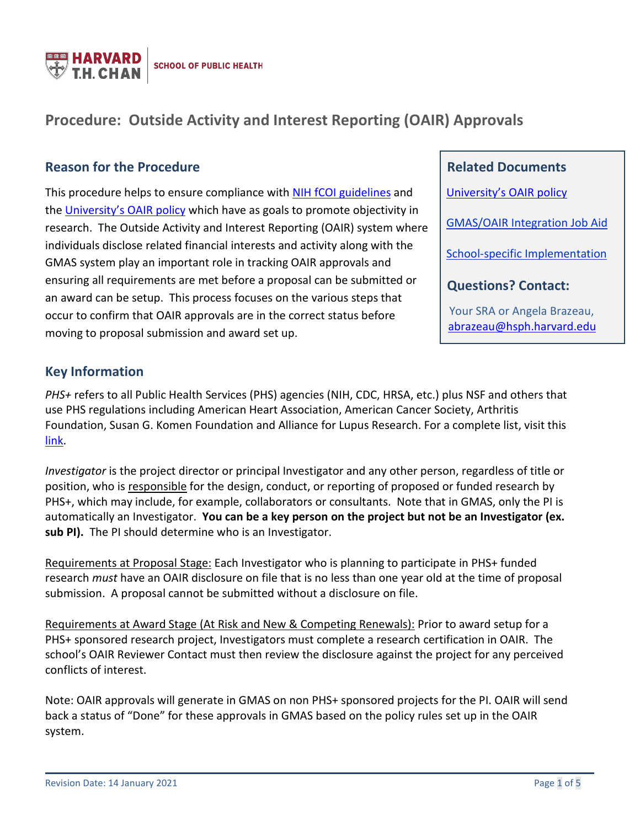

# **Procedure: Outside Activity and Interest Reporting (OAIR) Approvals**

### **Reason for the Procedure**

This procedure helps to ensure compliance with [NIH fCOI guidelines](https://grants.nih.gov/grants/policy/coi/index.htm) and the [University's OAIR policy](https://vpr.harvard.edu/OAIR) which have as goals to promote objectivity in research. The Outside Activity and Interest Reporting (OAIR) system where individuals disclose related financial interests and activity along with the GMAS system play an important role in tracking OAIR approvals and ensuring all requirements are met before a proposal can be submitted or an award can be setup. This process focuses on the various steps that occur to confirm that OAIR approvals are in the correct status before moving to proposal submission and award set up.

 **Related Documents** [University's OAIR policy](https://vpr.harvard.edu/OAIR) [GMAS/OAIR Integration Job Aid](https://gmas.fss.harvard.edu/files/gmas/files/gmas-oair_integration.pdf) [School-specific Implementation](https://www.hsph.harvard.edu/faculty-affairs/outside-activities/hsph-policy-on-conflicts-of-interest-and-commitment/)  **Questions? Contact:** Your SRA or Angela Brazeau, [abrazeau@hsph.harvard.edu](mailto:abrazeau@hsph.harvard.edu)

# **Key Information**

*PHS+* refers to all Public Health Services (PHS) agencies (NIH, CDC, HRSA, etc.) plus NSF and others that use PHS regulations including American Heart Association, American Cancer Society, Arthritis Foundation, Susan G. Komen Foundation and Alliance for Lupus Research. For a complete list, visit this [link.](https://thefdp.org/default/fcoi-clearinghouse/fcoi-agencies/)

*Investigator* is the project director or principal Investigator and any other person, regardless of title or position, who is responsible for the design, conduct, or reporting of proposed or funded research by PHS+, which may include, for example, collaborators or consultants. Note that in GMAS, only the PI is automatically an Investigator. **You can be a key person on the project but not be an Investigator (ex. sub PI).** The PI should determine who is an Investigator.

Requirements at Proposal Stage: Each Investigator who is planning to participate in PHS+ funded research *must* have an OAIR disclosure on file that is no less than one year old at the time of proposal submission. A proposal cannot be submitted without a disclosure on file.

Requirements at Award Stage (At Risk and New & Competing Renewals): Prior to award setup for a PHS+ sponsored research project, Investigators must complete a research certification in OAIR. The school's OAIR Reviewer Contact must then review the disclosure against the project for any perceived conflicts of interest.

Note: OAIR approvals will generate in GMAS on non PHS+ sponsored projects for the PI. OAIR will send back a status of "Done" for these approvals in GMAS based on the policy rules set up in the OAIR system.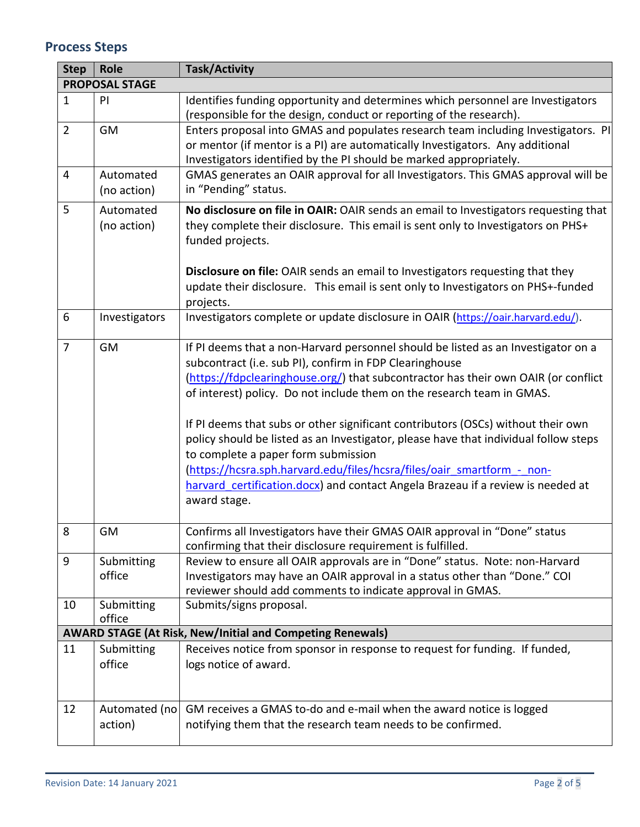# **Process Steps**

| <b>Step</b>    | Role                     | <b>Task/Activity</b>                                                                                                                                                                                                                     |  |  |  |  |  |
|----------------|--------------------------|------------------------------------------------------------------------------------------------------------------------------------------------------------------------------------------------------------------------------------------|--|--|--|--|--|
|                | <b>PROPOSAL STAGE</b>    |                                                                                                                                                                                                                                          |  |  |  |  |  |
| $\mathbf{1}$   | PI                       | Identifies funding opportunity and determines which personnel are Investigators<br>(responsible for the design, conduct or reporting of the research).                                                                                   |  |  |  |  |  |
| $\overline{2}$ | GM                       | Enters proposal into GMAS and populates research team including Investigators. PI<br>or mentor (if mentor is a PI) are automatically Investigators. Any additional<br>Investigators identified by the PI should be marked appropriately. |  |  |  |  |  |
| 4              | Automated<br>(no action) | GMAS generates an OAIR approval for all Investigators. This GMAS approval will be<br>in "Pending" status.                                                                                                                                |  |  |  |  |  |
| 5              | Automated<br>(no action) | No disclosure on file in OAIR: OAIR sends an email to Investigators requesting that<br>they complete their disclosure. This email is sent only to Investigators on PHS+<br>funded projects.                                              |  |  |  |  |  |
|                |                          | Disclosure on file: OAIR sends an email to Investigators requesting that they<br>update their disclosure. This email is sent only to Investigators on PHS+-funded<br>projects.                                                           |  |  |  |  |  |
| 6              | Investigators            | Investigators complete or update disclosure in OAIR (https://oair.harvard.edu/).                                                                                                                                                         |  |  |  |  |  |
| $\overline{7}$ | <b>GM</b>                | If PI deems that a non-Harvard personnel should be listed as an Investigator on a<br>subcontract (i.e. sub PI), confirm in FDP Clearinghouse<br>(https://fdpclearinghouse.org/) that subcontractor has their own OAIR (or conflict       |  |  |  |  |  |
|                |                          | of interest) policy. Do not include them on the research team in GMAS.                                                                                                                                                                   |  |  |  |  |  |
|                |                          | If PI deems that subs or other significant contributors (OSCs) without their own<br>policy should be listed as an Investigator, please have that individual follow steps<br>to complete a paper form submission                          |  |  |  |  |  |
|                |                          | (https://hcsra.sph.harvard.edu/files/hcsra/files/oair smartform - non-<br>harvard certification.docx) and contact Angela Brazeau if a review is needed at<br>award stage.                                                                |  |  |  |  |  |
| 8              | <b>GM</b>                | Confirms all Investigators have their GMAS OAIR approval in "Done" status<br>confirming that their disclosure requirement is fulfilled.                                                                                                  |  |  |  |  |  |
| 9              | Submitting<br>office     | Review to ensure all OAIR approvals are in "Done" status. Note: non-Harvard<br>Investigators may have an OAIR approval in a status other than "Done." COI<br>reviewer should add comments to indicate approval in GMAS.                  |  |  |  |  |  |
| 10             | Submitting<br>office     | Submits/signs proposal.                                                                                                                                                                                                                  |  |  |  |  |  |
|                |                          | <b>AWARD STAGE (At Risk, New/Initial and Competing Renewals)</b>                                                                                                                                                                         |  |  |  |  |  |
| 11             | Submitting<br>office     | Receives notice from sponsor in response to request for funding. If funded,<br>logs notice of award.                                                                                                                                     |  |  |  |  |  |
| 12             | Automated (no<br>action) | GM receives a GMAS to-do and e-mail when the award notice is logged<br>notifying them that the research team needs to be confirmed.                                                                                                      |  |  |  |  |  |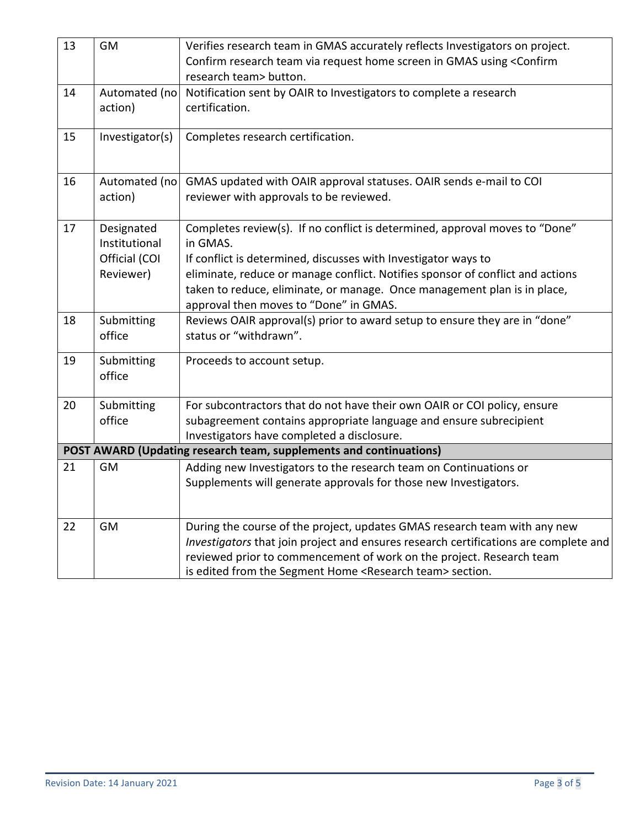| 13 | GM                          | Verifies research team in GMAS accurately reflects Investigators on project.<br>Confirm research team via request home screen in GMAS using <confirm< td=""></confirm<> |  |  |
|----|-----------------------------|-------------------------------------------------------------------------------------------------------------------------------------------------------------------------|--|--|
|    |                             | research team> button.                                                                                                                                                  |  |  |
| 14 | Automated (no               | Notification sent by OAIR to Investigators to complete a research                                                                                                       |  |  |
|    | action)                     | certification.                                                                                                                                                          |  |  |
| 15 | Investigator(s)             | Completes research certification.                                                                                                                                       |  |  |
| 16 | Automated (no               | GMAS updated with OAIR approval statuses. OAIR sends e-mail to COI                                                                                                      |  |  |
|    | action)                     | reviewer with approvals to be reviewed.                                                                                                                                 |  |  |
|    |                             |                                                                                                                                                                         |  |  |
| 17 | Designated<br>Institutional | Completes review(s). If no conflict is determined, approval moves to "Done"<br>in GMAS.                                                                                 |  |  |
|    | Official (COI               | If conflict is determined, discusses with Investigator ways to                                                                                                          |  |  |
|    | Reviewer)                   | eliminate, reduce or manage conflict. Notifies sponsor of conflict and actions                                                                                          |  |  |
|    |                             | taken to reduce, eliminate, or manage. Once management plan is in place,<br>approval then moves to "Done" in GMAS.                                                      |  |  |
| 18 | Submitting                  | Reviews OAIR approval(s) prior to award setup to ensure they are in "done"                                                                                              |  |  |
|    | office                      | status or "withdrawn".                                                                                                                                                  |  |  |
| 19 | Submitting<br>office        | Proceeds to account setup.                                                                                                                                              |  |  |
|    |                             |                                                                                                                                                                         |  |  |
| 20 | Submitting                  | For subcontractors that do not have their own OAIR or COI policy, ensure                                                                                                |  |  |
|    | office                      | subagreement contains appropriate language and ensure subrecipient                                                                                                      |  |  |
|    |                             | Investigators have completed a disclosure.                                                                                                                              |  |  |
|    |                             | POST AWARD (Updating research team, supplements and continuations)                                                                                                      |  |  |
| 21 | <b>GM</b>                   | Adding new Investigators to the research team on Continuations or                                                                                                       |  |  |
|    |                             | Supplements will generate approvals for those new Investigators.                                                                                                        |  |  |
|    |                             |                                                                                                                                                                         |  |  |
| 22 | GM                          | During the course of the project, updates GMAS research team with any new                                                                                               |  |  |
|    |                             | Investigators that join project and ensures research certifications are complete and                                                                                    |  |  |
|    |                             | reviewed prior to commencement of work on the project. Research team                                                                                                    |  |  |
|    |                             | is edited from the Segment Home <research team=""> section.</research>                                                                                                  |  |  |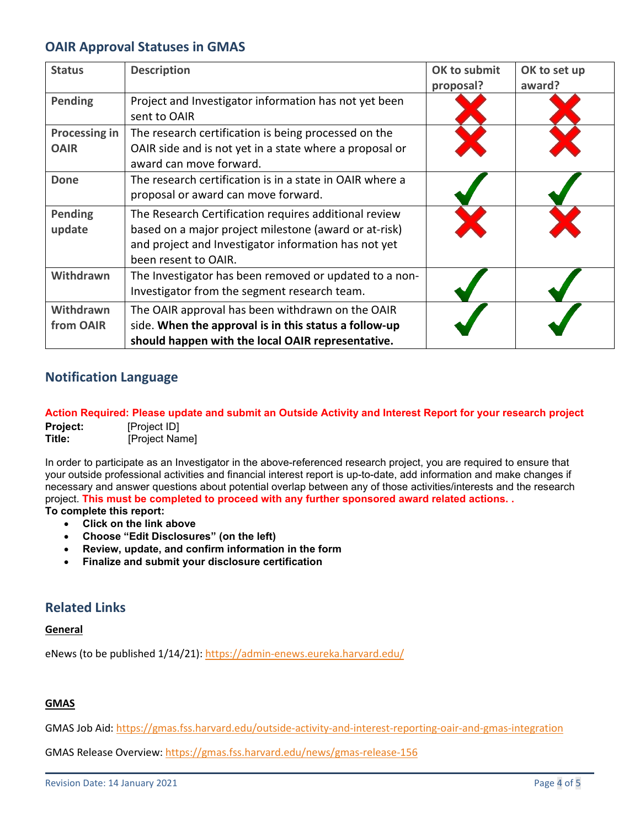# **OAIR Approval Statuses in GMAS**

| <b>Status</b>                       | <b>Description</b>                                                                                                                                                                             | OK to submit<br>proposal? | OK to set up<br>award? |
|-------------------------------------|------------------------------------------------------------------------------------------------------------------------------------------------------------------------------------------------|---------------------------|------------------------|
| <b>Pending</b>                      | Project and Investigator information has not yet been<br>sent to OAIR                                                                                                                          |                           |                        |
| <b>Processing in</b><br><b>OAIR</b> | The research certification is being processed on the<br>OAIR side and is not yet in a state where a proposal or<br>award can move forward.                                                     |                           |                        |
| <b>Done</b>                         | The research certification is in a state in OAIR where a<br>proposal or award can move forward.                                                                                                |                           |                        |
| Pending<br>update                   | The Research Certification requires additional review<br>based on a major project milestone (award or at-risk)<br>and project and Investigator information has not yet<br>been resent to OAIR. |                           |                        |
| Withdrawn                           | The Investigator has been removed or updated to a non-<br>Investigator from the segment research team.                                                                                         |                           |                        |
| Withdrawn<br>from OAIR              | The OAIR approval has been withdrawn on the OAIR<br>side. When the approval is in this status a follow-up<br>should happen with the local OAIR representative.                                 |                           |                        |

# **Notification Language**

#### **[Action](https://mpclkhvddev7.huronclick.com/COI/sd/NotificationManager/Jobs/Editor/JobForm?NMJob=com.webridge.entity.Entity%5bOID%5b76FB84AE478011EA2C84E84696565000%5d%5d&_webrOpenerFormID=0) Required: Please update and submit an Outside Activity and Interest Report for your research project**

**Project:** [Project ID] **Title:** [Project Name]

In order to participate as an Investigator in the above-referenced research project, you are required to ensure that your outside professional activities and financial interest report is up-to-date, add information and make changes if necessary and answer questions about potential overlap between any of those activities/interests and the research project. **This must be completed to proceed with any further sponsored award related actions. .** 

**To complete this report:**

- **Click on the link above**
- **Choose "Edit Disclosures" (on the left)**
- **Review, update, and confirm information in the form**
- **Finalize and submit your disclosure certification**

### **Related Links**

#### **General**

eNews (to be published 1/14/21): https://admin-enews.eureka.harvard.edu/

#### **GMAS**

GMAS Job Aid:<https://gmas.fss.harvard.edu/outside-activity-and-interest-reporting-oair-and-gmas-integration>

GMAS Release Overview:<https://gmas.fss.harvard.edu/news/gmas-release-156>